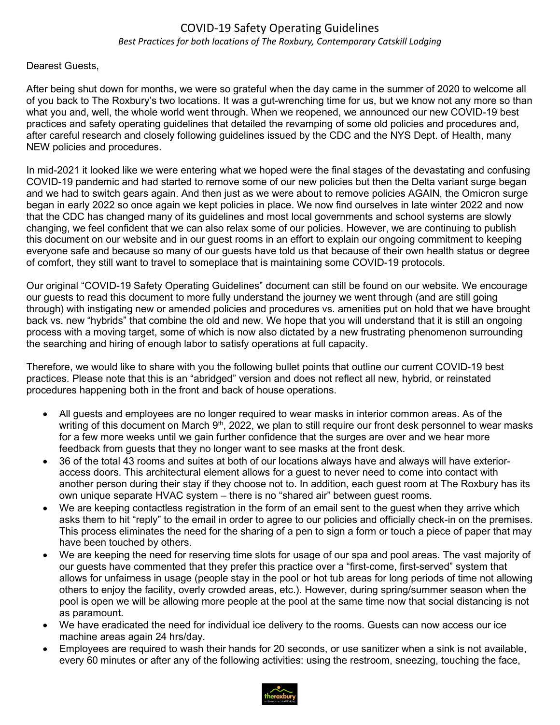## COVID-19 Safety Operating Guidelines *Best Practices for both locations of The Roxbury, Contemporary Catskill Lodging*

## Dearest Guests,

After being shut down for months, we were so grateful when the day came in the summer of 2020 to welcome all of you back to The Roxbury's two locations. It was a gut-wrenching time for us, but we know not any more so than what you and, well, the whole world went through. When we reopened, we announced our new COVID-19 best practices and safety operating guidelines that detailed the revamping of some old policies and procedures and, after careful research and closely following guidelines issued by the CDC and the NYS Dept. of Health, many NEW policies and procedures.

In mid-2021 it looked like we were entering what we hoped were the final stages of the devastating and confusing COVID-19 pandemic and had started to remove some of our new policies but then the Delta variant surge began and we had to switch gears again. And then just as we were about to remove policies AGAIN, the Omicron surge began in early 2022 so once again we kept policies in place. We now find ourselves in late winter 2022 and now that the CDC has changed many of its guidelines and most local governments and school systems are slowly changing, we feel confident that we can also relax some of our policies. However, we are continuing to publish this document on our website and in our guest rooms in an effort to explain our ongoing commitment to keeping everyone safe and because so many of our guests have told us that because of their own health status or degree of comfort, they still want to travel to someplace that is maintaining some COVID-19 protocols.

Our original "COVID-19 Safety Operating Guidelines" document can still be found on our website. We encourage our guests to read this document to more fully understand the journey we went through (and are still going through) with instigating new or amended policies and procedures vs. amenities put on hold that we have brought back vs. new "hybrids" that combine the old and new. We hope that you will understand that it is still an ongoing process with a moving target, some of which is now also dictated by a new frustrating phenomenon surrounding the searching and hiring of enough labor to satisfy operations at full capacity.

Therefore, we would like to share with you the following bullet points that outline our current COVID-19 best practices. Please note that this is an "abridged" version and does not reflect all new, hybrid, or reinstated procedures happening both in the front and back of house operations.

- All guests and employees are no longer required to wear masks in interior common areas. As of the writing of this document on March  $9<sup>th</sup>$ , 2022, we plan to still require our front desk personnel to wear masks for a few more weeks until we gain further confidence that the surges are over and we hear more feedback from guests that they no longer want to see masks at the front desk.
- 36 of the total 43 rooms and suites at both of our locations always have and always will have exterioraccess doors. This architectural element allows for a guest to never need to come into contact with another person during their stay if they choose not to. In addition, each guest room at The Roxbury has its own unique separate HVAC system – there is no "shared air" between guest rooms.
- We are keeping contactless registration in the form of an email sent to the guest when they arrive which asks them to hit "reply" to the email in order to agree to our policies and officially check-in on the premises. This process eliminates the need for the sharing of a pen to sign a form or touch a piece of paper that may have been touched by others.
- We are keeping the need for reserving time slots for usage of our spa and pool areas. The vast majority of our guests have commented that they prefer this practice over a "first-come, first-served" system that allows for unfairness in usage (people stay in the pool or hot tub areas for long periods of time not allowing others to enjoy the facility, overly crowded areas, etc.). However, during spring/summer season when the pool is open we will be allowing more people at the pool at the same time now that social distancing is not as paramount.
- We have eradicated the need for individual ice delivery to the rooms. Guests can now access our ice machine areas again 24 hrs/day.
- Employees are required to wash their hands for 20 seconds, or use sanitizer when a sink is not available, every 60 minutes or after any of the following activities: using the restroom, sneezing, touching the face,